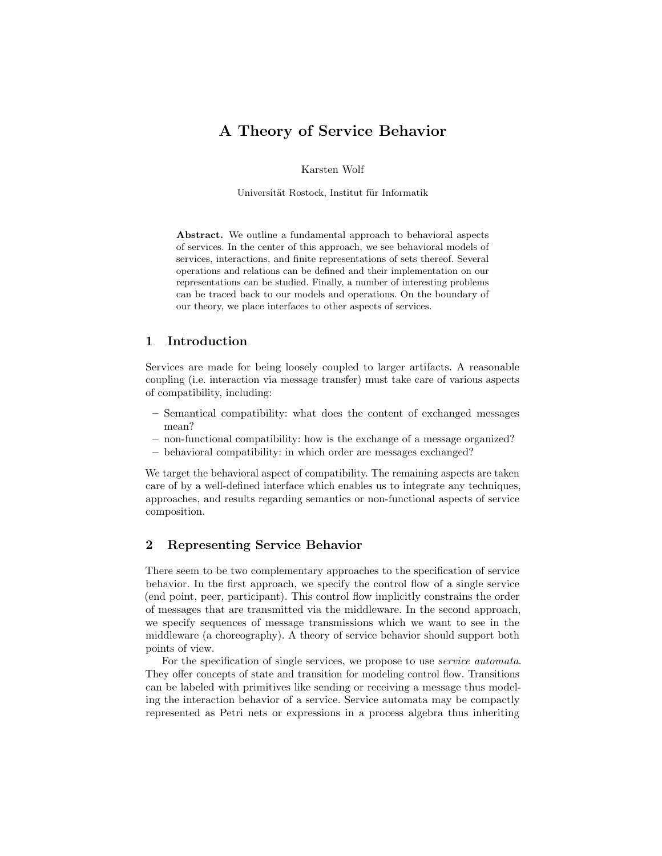# A Theory of Service Behavior

Karsten Wolf

Universität Rostock, Institut für Informatik

Abstract. We outline a fundamental approach to behavioral aspects of services. In the center of this approach, we see behavioral models of services, interactions, and finite representations of sets thereof. Several operations and relations can be defined and their implementation on our representations can be studied. Finally, a number of interesting problems can be traced back to our models and operations. On the boundary of our theory, we place interfaces to other aspects of services.

# 1 Introduction

Services are made for being loosely coupled to larger artifacts. A reasonable coupling (i.e. interaction via message transfer) must take care of various aspects of compatibility, including:

- Semantical compatibility: what does the content of exchanged messages mean?
- non-functional compatibility: how is the exchange of a message organized?
- behavioral compatibility: in which order are messages exchanged?

We target the behavioral aspect of compatibility. The remaining aspects are taken care of by a well-defined interface which enables us to integrate any techniques, approaches, and results regarding semantics or non-functional aspects of service composition.

# 2 Representing Service Behavior

There seem to be two complementary approaches to the specification of service behavior. In the first approach, we specify the control flow of a single service (end point, peer, participant). This control flow implicitly constrains the order of messages that are transmitted via the middleware. In the second approach, we specify sequences of message transmissions which we want to see in the middleware (a choreography). A theory of service behavior should support both points of view.

For the specification of single services, we propose to use service automata. They offer concepts of state and transition for modeling control flow. Transitions can be labeled with primitives like sending or receiving a message thus modeling the interaction behavior of a service. Service automata may be compactly represented as Petri nets or expressions in a process algebra thus inheriting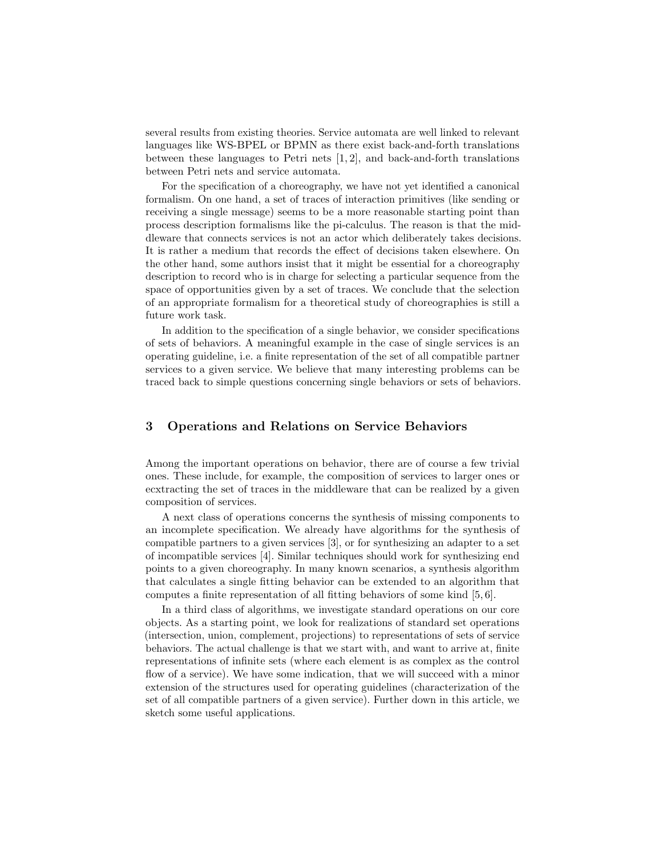several results from existing theories. Service automata are well linked to relevant languages like WS-BPEL or BPMN as there exist back-and-forth translations between these languages to Petri nets [1, 2], and back-and-forth translations between Petri nets and service automata.

For the specification of a choreography, we have not yet identified a canonical formalism. On one hand, a set of traces of interaction primitives (like sending or receiving a single message) seems to be a more reasonable starting point than process description formalisms like the pi-calculus. The reason is that the middleware that connects services is not an actor which deliberately takes decisions. It is rather a medium that records the effect of decisions taken elsewhere. On the other hand, some authors insist that it might be essential for a choreography description to record who is in charge for selecting a particular sequence from the space of opportunities given by a set of traces. We conclude that the selection of an appropriate formalism for a theoretical study of choreographies is still a future work task.

In addition to the specification of a single behavior, we consider specifications of sets of behaviors. A meaningful example in the case of single services is an operating guideline, i.e. a finite representation of the set of all compatible partner services to a given service. We believe that many interesting problems can be traced back to simple questions concerning single behaviors or sets of behaviors.

# 3 Operations and Relations on Service Behaviors

Among the important operations on behavior, there are of course a few trivial ones. These include, for example, the composition of services to larger ones or ecxtracting the set of traces in the middleware that can be realized by a given composition of services.

A next class of operations concerns the synthesis of missing components to an incomplete specification. We already have algorithms for the synthesis of compatible partners to a given services [3], or for synthesizing an adapter to a set of incompatible services [4]. Similar techniques should work for synthesizing end points to a given choreography. In many known scenarios, a synthesis algorithm that calculates a single fitting behavior can be extended to an algorithm that computes a finite representation of all fitting behaviors of some kind [5, 6].

In a third class of algorithms, we investigate standard operations on our core objects. As a starting point, we look for realizations of standard set operations (intersection, union, complement, projections) to representations of sets of service behaviors. The actual challenge is that we start with, and want to arrive at, finite representations of infinite sets (where each element is as complex as the control flow of a service). We have some indication, that we will succeed with a minor extension of the structures used for operating guidelines (characterization of the set of all compatible partners of a given service). Further down in this article, we sketch some useful applications.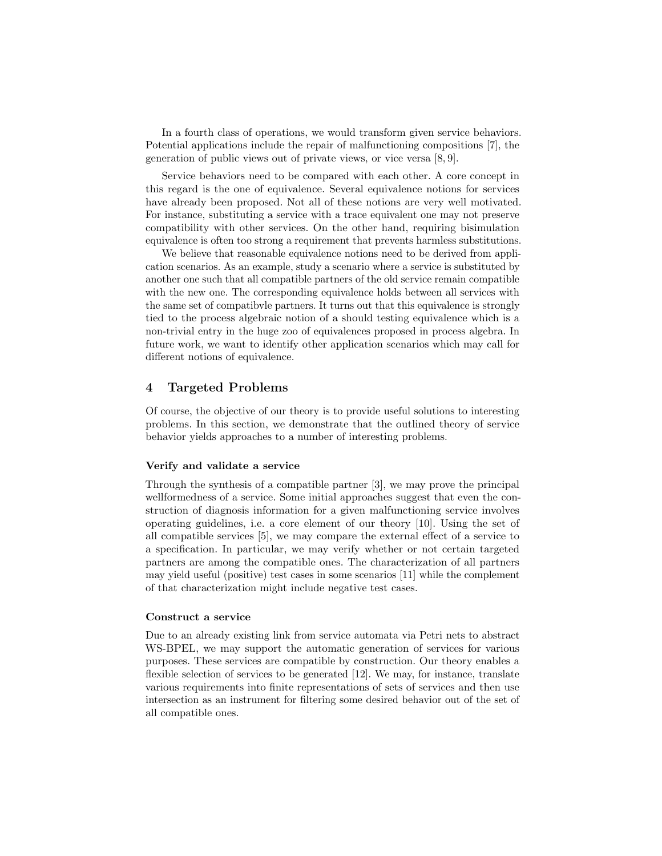In a fourth class of operations, we would transform given service behaviors. Potential applications include the repair of malfunctioning compositions [7], the generation of public views out of private views, or vice versa [8, 9].

Service behaviors need to be compared with each other. A core concept in this regard is the one of equivalence. Several equivalence notions for services have already been proposed. Not all of these notions are very well motivated. For instance, substituting a service with a trace equivalent one may not preserve compatibility with other services. On the other hand, requiring bisimulation equivalence is often too strong a requirement that prevents harmless substitutions.

We believe that reasonable equivalence notions need to be derived from application scenarios. As an example, study a scenario where a service is substituted by another one such that all compatible partners of the old service remain compatible with the new one. The corresponding equivalence holds between all services with the same set of compatibvle partners. It turns out that this equivalence is strongly tied to the process algebraic notion of a should testing equivalence which is a non-trivial entry in the huge zoo of equivalences proposed in process algebra. In future work, we want to identify other application scenarios which may call for different notions of equivalence.

## 4 Targeted Problems

Of course, the objective of our theory is to provide useful solutions to interesting problems. In this section, we demonstrate that the outlined theory of service behavior yields approaches to a number of interesting problems.

## Verify and validate a service

Through the synthesis of a compatible partner [3], we may prove the principal wellformedness of a service. Some initial approaches suggest that even the construction of diagnosis information for a given malfunctioning service involves operating guidelines, i.e. a core element of our theory [10]. Using the set of all compatible services [5], we may compare the external effect of a service to a specification. In particular, we may verify whether or not certain targeted partners are among the compatible ones. The characterization of all partners may yield useful (positive) test cases in some scenarios [11] while the complement of that characterization might include negative test cases.

### Construct a service

Due to an already existing link from service automata via Petri nets to abstract WS-BPEL, we may support the automatic generation of services for various purposes. These services are compatible by construction. Our theory enables a flexible selection of services to be generated [12]. We may, for instance, translate various requirements into finite representations of sets of services and then use intersection as an instrument for filtering some desired behavior out of the set of all compatible ones.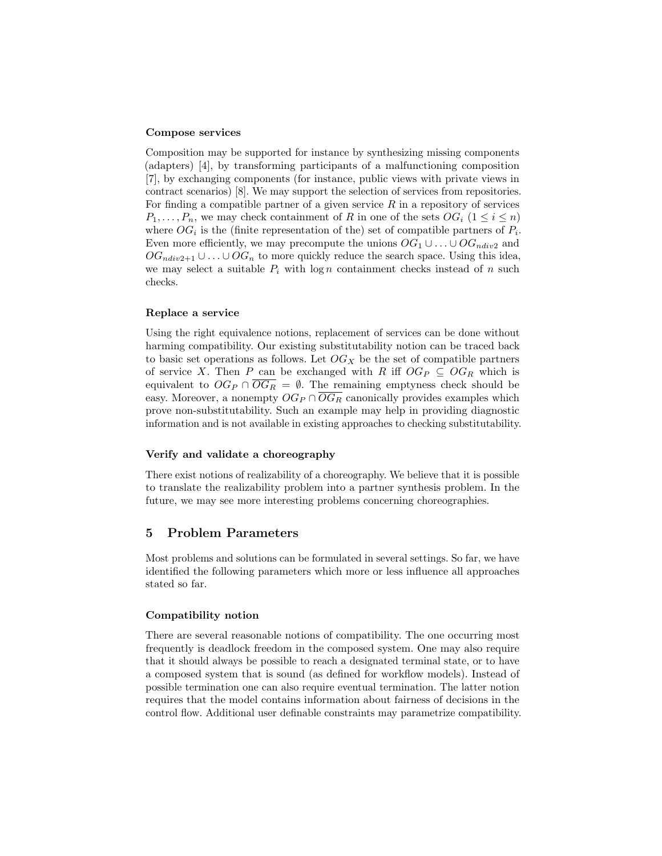#### Compose services

Composition may be supported for instance by synthesizing missing components (adapters) [4], by transforming participants of a malfunctioning composition [7], by exchanging components (for instance, public views with private views in contract scenarios) [8]. We may support the selection of services from repositories. For finding a compatible partner of a given service  $R$  in a repository of services  $P_1, \ldots, P_n$ , we may check containment of R in one of the sets  $OG_i$   $(1 \leq i \leq n)$ where  $OG_i$  is the (finite representation of the) set of compatible partners of  $P_i$ . Even more efficiently, we may precompute the unions  $OG_1 \cup \ldots \cup OG_{ndiv2}$  and  $OG_{ndiv2+1} \cup \ldots \cup OG_n$  to more quickly reduce the search space. Using this idea, we may select a suitable  $P_i$  with  $\log n$  containment checks instead of n such checks.

### Replace a service

Using the right equivalence notions, replacement of services can be done without harming compatibility. Our existing substitutability notion can be traced back to basic set operations as follows. Let  $OG_X$  be the set of compatible partners of service X. Then P can be exchanged with R iff  $OG_P \subseteq OG_R$  which is equivalent to  $OG_P \cap \overline{OG_R} = \emptyset$ . The remaining emptyness check should be easy. Moreover, a nonempty  $OG_P \cap \overline{OG_R}$  canonically provides examples which prove non-substitutability. Such an example may help in providing diagnostic information and is not available in existing approaches to checking substitutability.

## Verify and validate a choreography

There exist notions of realizability of a choreography. We believe that it is possible to translate the realizability problem into a partner synthesis problem. In the future, we may see more interesting problems concerning choreographies.

## 5 Problem Parameters

Most problems and solutions can be formulated in several settings. So far, we have identified the following parameters which more or less influence all approaches stated so far.

### Compatibility notion

There are several reasonable notions of compatibility. The one occurring most frequently is deadlock freedom in the composed system. One may also require that it should always be possible to reach a designated terminal state, or to have a composed system that is sound (as defined for workflow models). Instead of possible termination one can also require eventual termination. The latter notion requires that the model contains information about fairness of decisions in the control flow. Additional user definable constraints may parametrize compatibility.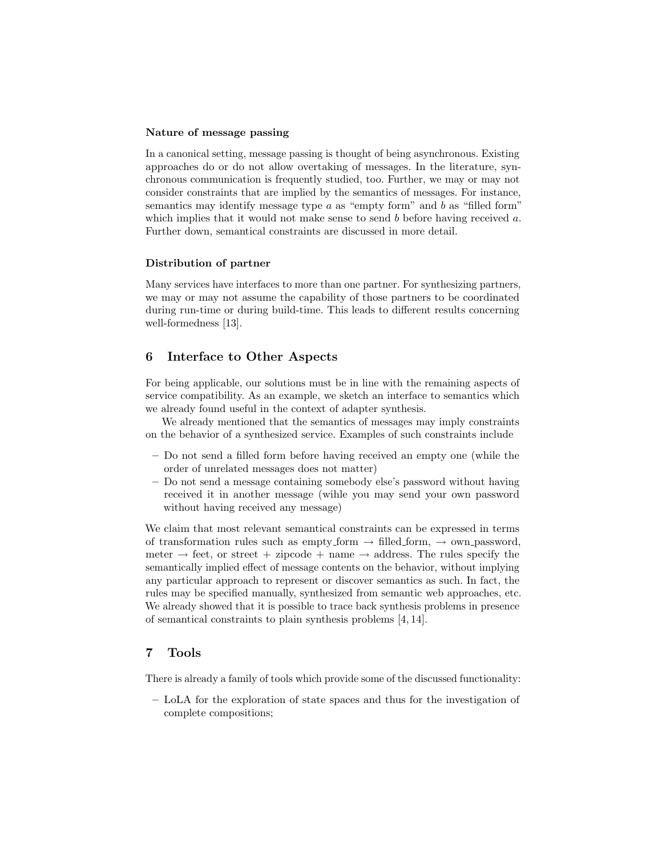#### Nature of message passing

In a canonical setting, message passing is thought of being asynchronous. Existing approaches do or do not allow overtaking of messages. In the literature, synchronous communication is frequently studied, too. Further, we may or may not consider constraints that are implied by the semantics of messages. For instance, semantics may identify message type  $a$  as "empty form" and  $b$  as "filled form" which implies that it would not make sense to send  $b$  before having received  $a$ . Further down, semantical constraints are discussed in more detail.

## Distribution of partner

Many services have interfaces to more than one partner. For synthesizing partners, we may or may not assume the capability of those partners to be coordinated during run-time or during build-time. This leads to different results concerning well-formedness [13].

# 6 Interface to Other Aspects

For being applicable, our solutions must be in line with the remaining aspects of service compatibility. As an example, we sketch an interface to semantics which we already found useful in the context of adapter synthesis.

We already mentioned that the semantics of messages may imply constraints on the behavior of a synthesized service. Examples of such constraints include

- Do not send a filled form before having received an empty one (while the order of unrelated messages does not matter)
- Do not send a message containing somebody else's password without having received it in another message (wihle you may send your own password without having received any message)

We claim that most relevant semantical constraints can be expressed in terms of transformation rules such as empty form  $\rightarrow$  filled form,  $\rightarrow$  own password, meter  $\rightarrow$  feet, or street + zipcode + name  $\rightarrow$  address. The rules specify the semantically implied effect of message contents on the behavior, without implying any particular approach to represent or discover semantics as such. In fact, the rules may be specified manually, synthesized from semantic web approaches, etc. We already showed that it is possible to trace back synthesis problems in presence of semantical constraints to plain synthesis problems [4, 14].

# 7 Tools

There is already a family of tools which provide some of the discussed functionality:

– LoLA for the exploration of state spaces and thus for the investigation of complete compositions;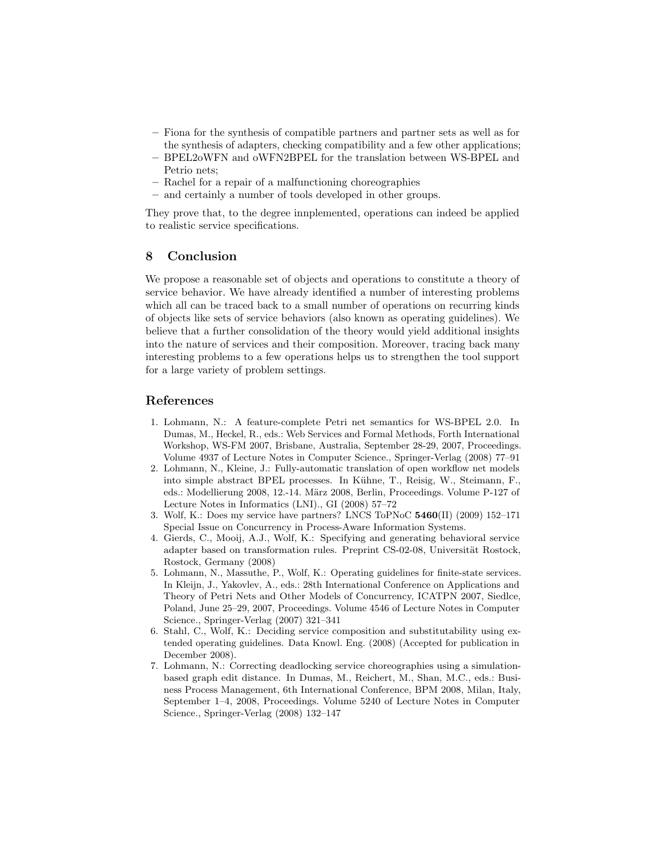- Fiona for the synthesis of compatible partners and partner sets as well as for the synthesis of adapters, checking compatibility and a few other applications;
- BPEL2oWFN and oWFN2BPEL for the translation between WS-BPEL and Petrio nets;
- Rachel for a repair of a malfunctioning choreographies
- and certainly a number of tools developed in other groups.

They prove that, to the degree innplemented, operations can indeed be applied to realistic service specifications.

# 8 Conclusion

We propose a reasonable set of objects and operations to constitute a theory of service behavior. We have already identified a number of interesting problems which all can be traced back to a small number of operations on recurring kinds of objects like sets of service behaviors (also known as operating guidelines). We believe that a further consolidation of the theory would yield additional insights into the nature of services and their composition. Moreover, tracing back many interesting problems to a few operations helps us to strengthen the tool support for a large variety of problem settings.

## References

- 1. Lohmann, N.: A feature-complete Petri net semantics for WS-BPEL 2.0. In Dumas, M., Heckel, R., eds.: Web Services and Formal Methods, Forth International Workshop, WS-FM 2007, Brisbane, Australia, September 28-29, 2007, Proceedings. Volume 4937 of Lecture Notes in Computer Science., Springer-Verlag (2008) 77–91
- 2. Lohmann, N., Kleine, J.: Fully-automatic translation of open workflow net models into simple abstract BPEL processes. In Kühne, T., Reisig, W., Steimann, F., eds.: Modellierung 2008, 12.-14. März 2008, Berlin, Proceedings. Volume P-127 of Lecture Notes in Informatics (LNI)., GI (2008) 57–72
- 3. Wolf, K.: Does my service have partners? LNCS ToPNoC 5460(II) (2009) 152–171 Special Issue on Concurrency in Process-Aware Information Systems.
- 4. Gierds, C., Mooij, A.J., Wolf, K.: Specifying and generating behavioral service adapter based on transformation rules. Preprint CS-02-08, Universität Rostock, Rostock, Germany (2008)
- 5. Lohmann, N., Massuthe, P., Wolf, K.: Operating guidelines for finite-state services. In Kleijn, J., Yakovlev, A., eds.: 28th International Conference on Applications and Theory of Petri Nets and Other Models of Concurrency, ICATPN 2007, Siedlce, Poland, June 25–29, 2007, Proceedings. Volume 4546 of Lecture Notes in Computer Science., Springer-Verlag (2007) 321–341
- 6. Stahl, C., Wolf, K.: Deciding service composition and substitutability using extended operating guidelines. Data Knowl. Eng. (2008) (Accepted for publication in December 2008).
- 7. Lohmann, N.: Correcting deadlocking service choreographies using a simulationbased graph edit distance. In Dumas, M., Reichert, M., Shan, M.C., eds.: Business Process Management, 6th International Conference, BPM 2008, Milan, Italy, September 1–4, 2008, Proceedings. Volume 5240 of Lecture Notes in Computer Science., Springer-Verlag (2008) 132–147